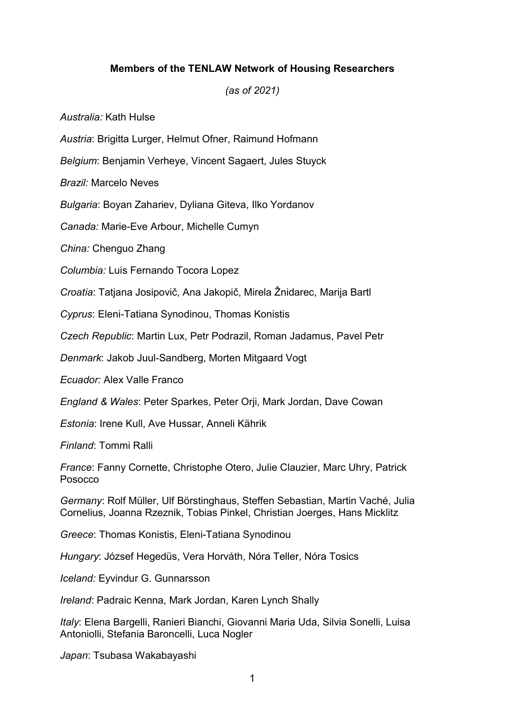## Members of the TENLAW Network of Housing Researchers

## (as of 2021)

Australia: Kath Hulse

Austria: Brigitta Lurger, Helmut Ofner, Raimund Hofmann

Belgium: Benjamin Verheye, Vincent Sagaert, Jules Stuyck

Brazil: Marcelo Neves

Bulgaria: Boyan Zahariev, Dyliana Giteva, Ilko Yordanov

Canada: Marie-Eve Arbour, Michelle Cumyn

China: Chenguo Zhang

Columbia: Luis Fernando Tocora Lopez

Croatia: Tatjana Josipovič, Ana Jakopič, Mirela Žnidarec, Marija Bartl

Cyprus: Eleni-Tatiana Synodinou, Thomas Konistis

Czech Republic: Martin Lux, Petr Podrazil, Roman Jadamus, Pavel Petr

Denmark: Jakob Juul-Sandberg, Morten Mitgaard Vogt

Ecuador: Alex Valle Franco

England & Wales: Peter Sparkes, Peter Orji, Mark Jordan, Dave Cowan

Estonia: Irene Kull, Ave Hussar, Anneli Kährik

Finland: Tommi Ralli

France: Fanny Cornette, Christophe Otero, Julie Clauzier, Marc Uhry, Patrick **Posocco** 

Germany: Rolf Müller, Ulf Börstinghaus, Steffen Sebastian, Martin Vaché, Julia Cornelius, Joanna Rzeznik, Tobias Pinkel, Christian Joerges, Hans Micklitz

Greece: Thomas Konistis, Eleni-Tatiana Synodinou

Hungary: József Hegedüs, Vera Horváth, Nóra Teller, Nóra Tosics

Iceland: Eyvindur G. Gunnarsson

Ireland: Padraic Kenna, Mark Jordan, Karen Lynch Shally

Italy: Elena Bargelli, Ranieri Bianchi, Giovanni Maria Uda, Silvia Sonelli, Luisa Antoniolli, Stefania Baroncelli, Luca Nogler

Japan: Tsubasa Wakabayashi